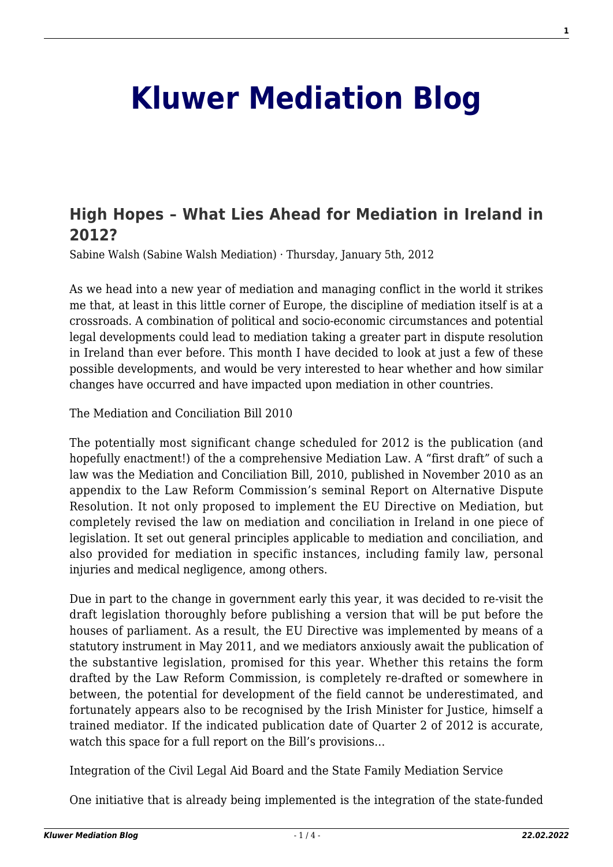# **[Kluwer Mediation Blog](http://mediationblog.kluwerarbitration.com/)**

## **[High Hopes – What Lies Ahead for Mediation in Ireland in](http://mediationblog.kluwerarbitration.com/2012/01/05/high-hopes-what-lies-ahead-for-mediation-in-ireland-in-2012/) [2012?](http://mediationblog.kluwerarbitration.com/2012/01/05/high-hopes-what-lies-ahead-for-mediation-in-ireland-in-2012/)**

Sabine Walsh (Sabine Walsh Mediation) · Thursday, January 5th, 2012

As we head into a new year of mediation and managing conflict in the world it strikes me that, at least in this little corner of Europe, the discipline of mediation itself is at a crossroads. A combination of political and socio-economic circumstances and potential legal developments could lead to mediation taking a greater part in dispute resolution in Ireland than ever before. This month I have decided to look at just a few of these possible developments, and would be very interested to hear whether and how similar changes have occurred and have impacted upon mediation in other countries.

The Mediation and Conciliation Bill 2010

The potentially most significant change scheduled for 2012 is the publication (and hopefully enactment!) of the a comprehensive Mediation Law. A "first draft" of such a law was the Mediation and Conciliation Bill, 2010, published in November 2010 as an appendix to the Law Reform Commission's seminal Report on Alternative Dispute Resolution. It not only proposed to implement the EU Directive on Mediation, but completely revised the law on mediation and conciliation in Ireland in one piece of legislation. It set out general principles applicable to mediation and conciliation, and also provided for mediation in specific instances, including family law, personal injuries and medical negligence, among others.

Due in part to the change in government early this year, it was decided to re-visit the draft legislation thoroughly before publishing a version that will be put before the houses of parliament. As a result, the EU Directive was implemented by means of a statutory instrument in May 2011, and we mediators anxiously await the publication of the substantive legislation, promised for this year. Whether this retains the form drafted by the Law Reform Commission, is completely re-drafted or somewhere in between, the potential for development of the field cannot be underestimated, and fortunately appears also to be recognised by the Irish Minister for Justice, himself a trained mediator. If the indicated publication date of Quarter 2 of 2012 is accurate, watch this space for a full report on the Bill's provisions…

Integration of the Civil Legal Aid Board and the State Family Mediation Service

One initiative that is already being implemented is the integration of the state-funded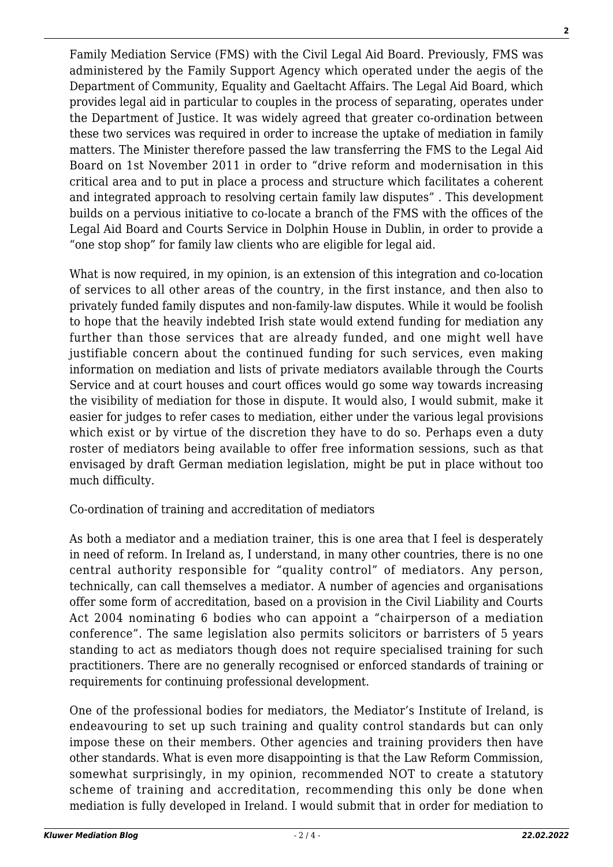Family Mediation Service (FMS) with the Civil Legal Aid Board. Previously, FMS was administered by the Family Support Agency which operated under the aegis of the Department of Community, Equality and Gaeltacht Affairs. The Legal Aid Board, which provides legal aid in particular to couples in the process of separating, operates under the Department of Justice. It was widely agreed that greater co-ordination between these two services was required in order to increase the uptake of mediation in family matters. The Minister therefore passed the law transferring the FMS to the Legal Aid Board on 1st November 2011 in order to "drive reform and modernisation in this critical area and to put in place a process and structure which facilitates a coherent and integrated approach to resolving certain family law disputes" . This development builds on a pervious initiative to co-locate a branch of the FMS with the offices of the Legal Aid Board and Courts Service in Dolphin House in Dublin, in order to provide a "one stop shop" for family law clients who are eligible for legal aid.

What is now required, in my opinion, is an extension of this integration and co-location of services to all other areas of the country, in the first instance, and then also to privately funded family disputes and non-family-law disputes. While it would be foolish to hope that the heavily indebted Irish state would extend funding for mediation any further than those services that are already funded, and one might well have justifiable concern about the continued funding for such services, even making information on mediation and lists of private mediators available through the Courts Service and at court houses and court offices would go some way towards increasing the visibility of mediation for those in dispute. It would also, I would submit, make it easier for judges to refer cases to mediation, either under the various legal provisions which exist or by virtue of the discretion they have to do so. Perhaps even a duty roster of mediators being available to offer free information sessions, such as that envisaged by draft German mediation legislation, might be put in place without too much difficulty.

### Co-ordination of training and accreditation of mediators

As both a mediator and a mediation trainer, this is one area that I feel is desperately in need of reform. In Ireland as, I understand, in many other countries, there is no one central authority responsible for "quality control" of mediators. Any person, technically, can call themselves a mediator. A number of agencies and organisations offer some form of accreditation, based on a provision in the Civil Liability and Courts Act 2004 nominating 6 bodies who can appoint a "chairperson of a mediation conference". The same legislation also permits solicitors or barristers of 5 years standing to act as mediators though does not require specialised training for such practitioners. There are no generally recognised or enforced standards of training or requirements for continuing professional development.

One of the professional bodies for mediators, the Mediator's Institute of Ireland, is endeavouring to set up such training and quality control standards but can only impose these on their members. Other agencies and training providers then have other standards. What is even more disappointing is that the Law Reform Commission, somewhat surprisingly, in my opinion, recommended NOT to create a statutory scheme of training and accreditation, recommending this only be done when mediation is fully developed in Ireland. I would submit that in order for mediation to

**2**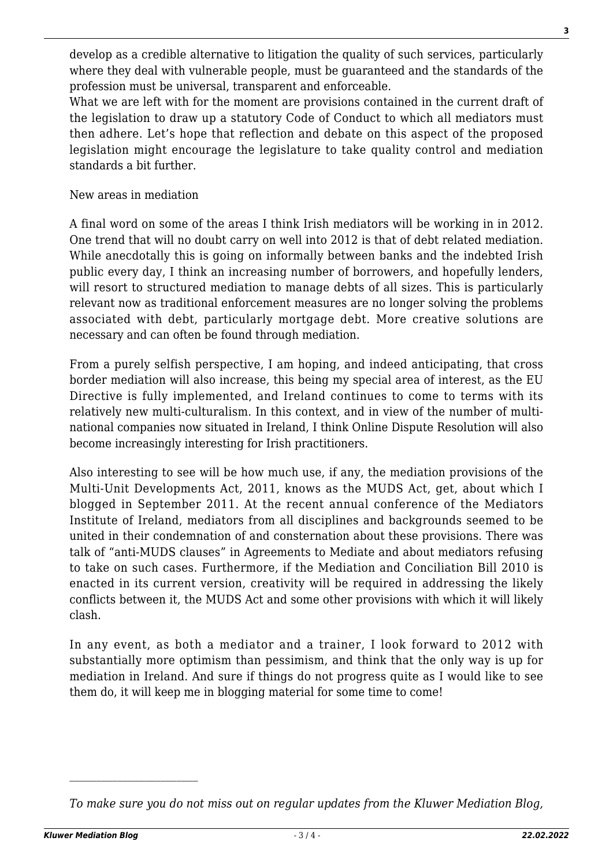develop as a credible alternative to litigation the quality of such services, particularly where they deal with vulnerable people, must be guaranteed and the standards of the profession must be universal, transparent and enforceable.

What we are left with for the moment are provisions contained in the current draft of the legislation to draw up a statutory Code of Conduct to which all mediators must then adhere. Let's hope that reflection and debate on this aspect of the proposed legislation might encourage the legislature to take quality control and mediation standards a bit further.

#### New areas in mediation

A final word on some of the areas I think Irish mediators will be working in in 2012. One trend that will no doubt carry on well into 2012 is that of debt related mediation. While anecdotally this is going on informally between banks and the indebted Irish public every day, I think an increasing number of borrowers, and hopefully lenders, will resort to structured mediation to manage debts of all sizes. This is particularly relevant now as traditional enforcement measures are no longer solving the problems associated with debt, particularly mortgage debt. More creative solutions are necessary and can often be found through mediation.

From a purely selfish perspective, I am hoping, and indeed anticipating, that cross border mediation will also increase, this being my special area of interest, as the EU Directive is fully implemented, and Ireland continues to come to terms with its relatively new multi-culturalism. In this context, and in view of the number of multinational companies now situated in Ireland, I think Online Dispute Resolution will also become increasingly interesting for Irish practitioners.

Also interesting to see will be how much use, if any, the mediation provisions of the Multi-Unit Developments Act, 2011, knows as the MUDS Act, get, about which I blogged in September 2011. At the recent annual conference of the Mediators Institute of Ireland, mediators from all disciplines and backgrounds seemed to be united in their condemnation of and consternation about these provisions. There was talk of "anti-MUDS clauses" in Agreements to Mediate and about mediators refusing to take on such cases. Furthermore, if the Mediation and Conciliation Bill 2010 is enacted in its current version, creativity will be required in addressing the likely conflicts between it, the MUDS Act and some other provisions with which it will likely clash.

In any event, as both a mediator and a trainer, I look forward to 2012 with substantially more optimism than pessimism, and think that the only way is up for mediation in Ireland. And sure if things do not progress quite as I would like to see them do, it will keep me in blogging material for some time to come!

*To make sure you do not miss out on regular updates from the Kluwer Mediation Blog,*